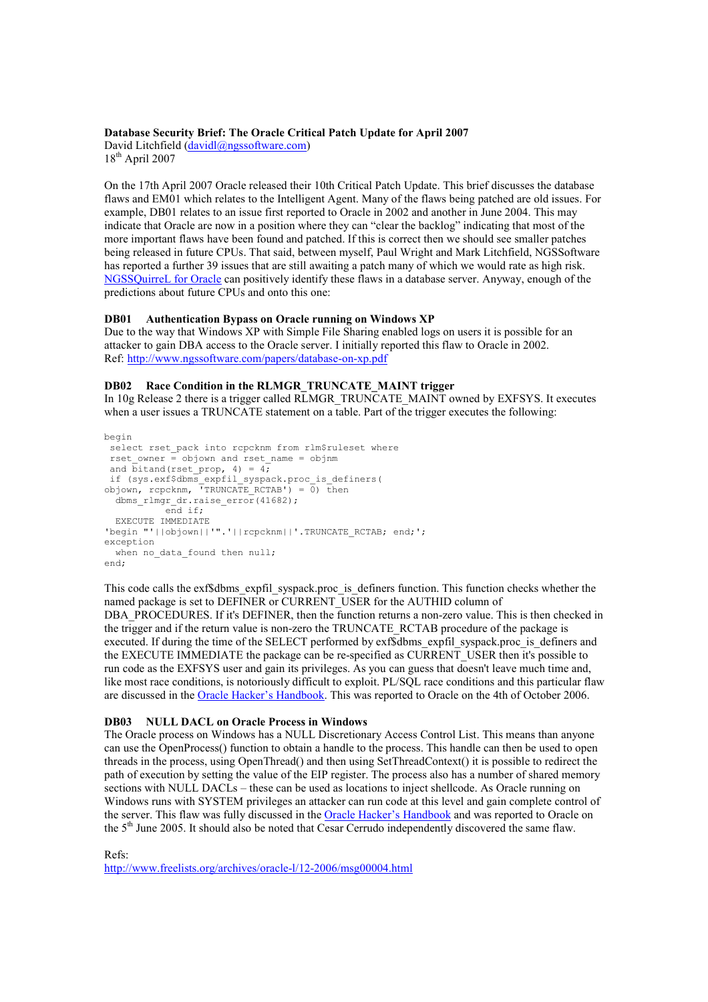#### Database Security Brief: The Oracle Critical Patch Update for April 2007

David Litchfield (davidl@ngssoftware.com)  $18<sup>th</sup>$  April 2007

On the 17th April 2007 Oracle released their 10th Critical Patch Update. This brief discusses the database flaws and EM01 which relates to the Intelligent Agent. Many of the flaws being patched are old issues. For example, DB01 relates to an issue first reported to Oracle in 2002 and another in June 2004. This may indicate that Oracle are now in a position where they can "clear the backlog" indicating that most of the more important flaws have been found and patched. If this is correct then we should see smaller patches being released in future CPUs. That said, between myself, Paul Wright and Mark Litchfield, NGSSoftware has reported a further 39 issues that are still awaiting a patch many of which we would rate as high risk. NGSSQuirreL for Oracle can positively identify these flaws in a database server. Anyway, enough of the predictions about future CPUs and onto this one:

#### DB01 Authentication Bypass on Oracle running on Windows XP

Due to the way that Windows XP with Simple File Sharing enabled logs on users it is possible for an attacker to gain DBA access to the Oracle server. I initially reported this flaw to Oracle in 2002. Ref: http://www.ngssoftware.com/papers/database-on-xp.pdf

#### DB02 Race Condition in the RLMGR\_TRUNCATE\_MAINT trigger

In 10g Release 2 there is a trigger called RLMGR\_TRUNCATE\_MAINT owned by EXFSYS. It executes when a user issues a TRUNCATE statement on a table. Part of the trigger executes the following:

```
begin 
 select rset pack into rcpcknm from rlm$ruleset where
 rset owner = objown and rset name = objnm
 and bitand(rset_prop, 4) = 4; 
 if (sys.exf$dbms_expfil_syspack.proc_is_definers( 
objown, rcpcknm, 'TRUNCATE_RCTAB') = 0) then 
  dbms_rlmgr_dr.raise_error(41682);
           end if; 
   EXECUTE IMMEDIATE 
'begin "'||objown||'".'||rcpcknm||'.TRUNCATE_RCTAB; end;'; 
exception 
 when no_data_found then null;
end;
```
This code calls the exf\$dbms\_expfil\_syspack.proc\_is\_definers function. This function checks whether the named package is set to DEFINER or CURRENT\_USER for the AUTHID column of DBA\_PROCEDURES. If it's DEFINER, then the function returns a non-zero value. This is then checked in the trigger and if the return value is non-zero the TRUNCATE\_RCTAB procedure of the package is executed. If during the time of the SELECT performed by exf\$dbms\_expfil\_syspack.proc\_is\_definers and the EXECUTE IMMEDIATE the package can be re-specified as CURRENT\_USER then it's possible to run code as the EXFSYS user and gain its privileges. As you can guess that doesn't leave much time and, like most race conditions, is notoriously difficult to exploit. PL/SQL race conditions and this particular flaw are discussed in the Oracle Hacker's Handbook. This was reported to Oracle on the 4th of October 2006.

#### DB03 NULL DACL on Oracle Process in Windows

The Oracle process on Windows has a NULL Discretionary Access Control List. This means than anyone can use the OpenProcess() function to obtain a handle to the process. This handle can then be used to open threads in the process, using OpenThread() and then using SetThreadContext() it is possible to redirect the path of execution by setting the value of the EIP register. The process also has a number of shared memory sections with NULL DACLs – these can be used as locations to inject shellcode. As Oracle running on Windows runs with SYSTEM privileges an attacker can run code at this level and gain complete control of the server. This flaw was fully discussed in the Oracle Hacker's Handbook and was reported to Oracle on the 5th June 2005. It should also be noted that Cesar Cerrudo independently discovered the same flaw.

Refs:

http://www.freelists.org/archives/oracle-l/12-2006/msg00004.html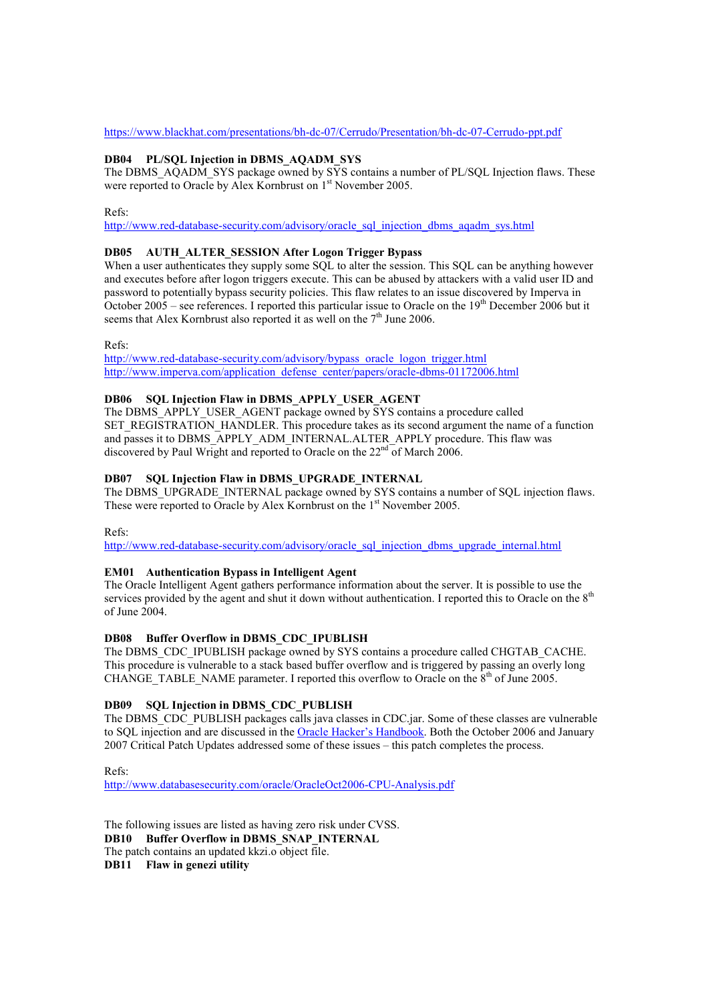#### https://www.blackhat.com/presentations/bh-dc-07/Cerrudo/Presentation/bh-dc-07-Cerrudo-ppt.pdf

## DB04 PL/SQL Injection in DBMS\_AQADM\_SYS

The DBMS  $AQADM$  SYS package owned by  $S\bar{Y}S$  contains a number of PL/SQL Injection flaws. These were reported to Oracle by Alex Kornbrust on 1<sup>st</sup> November 2005.

Refs:

http://www.red-database-security.com/advisory/oracle\_sql\_injection\_dbms\_aqadm\_sys.html

## DB05 AUTH\_ALTER\_SESSION After Logon Trigger Bypass

When a user authenticates they supply some SQL to alter the session. This SQL can be anything however and executes before after logon triggers execute. This can be abused by attackers with a valid user ID and password to potentially bypass security policies. This flaw relates to an issue discovered by Imperva in October  $2005$  – see references. I reported this particular issue to Oracle on the  $19<sup>th</sup>$  December 2006 but it seems that Alex Kornbrust also reported it as well on the  $7<sup>th</sup>$  June 2006.

Refs:

http://www.red-database-security.com/advisory/bypass\_oracle\_logon\_trigger.html http://www.imperva.com/application\_defense\_center/papers/oracle-dbms-01172006.html

## DB06 SQL Injection Flaw in DBMS APPLY USER AGENT

The DBMS\_APPLY\_USER\_AGENT package owned by SYS contains a procedure called SET\_REGISTRATION\_HANDLER. This procedure takes as its second argument the name of a function and passes it to DBMS\_APPLY\_ADM\_INTERNAL.ALTER\_APPLY procedure. This flaw was discovered by Paul Wright and reported to Oracle on the  $22<sup>nd</sup>$  of March 2006.

# DB07 SQL Injection Flaw in DBMS\_UPGRADE\_INTERNAL

The DBMS\_UPGRADE\_INTERNAL package owned by SYS contains a number of SQL injection flaws. These were reported to Oracle by Alex Kornbrust on the 1<sup>st</sup> November 2005.

 $R<sub>efc</sub>$ .

http://www.red-database-security.com/advisory/oracle\_sql\_injection\_dbms\_upgrade\_internal.html

## EM01 Authentication Bypass in Intelligent Agent

The Oracle Intelligent Agent gathers performance information about the server. It is possible to use the services provided by the agent and shut it down without authentication. I reported this to Oracle on the 8<sup>th</sup> of June 2004.

## DB08 Buffer Overflow in DBMS\_CDC\_IPUBLISH

The DBMS\_CDC\_IPUBLISH package owned by SYS contains a procedure called CHGTAB\_CACHE. This procedure is vulnerable to a stack based buffer overflow and is triggered by passing an overly long CHANGE TABLE NAME parameter. I reported this overflow to Oracle on the  $8<sup>th</sup>$  of June 2005.

# DB09 SQL Injection in DBMS\_CDC\_PUBLISH

The DBMS\_CDC\_PUBLISH packages calls java classes in CDC.jar. Some of these classes are vulnerable to SQL injection and are discussed in the Oracle Hacker's Handbook. Both the October 2006 and January 2007 Critical Patch Updates addressed some of these issues – this patch completes the process.

Refs:

http://www.databasesecurity.com/oracle/OracleOct2006-CPU-Analysis.pdf

The following issues are listed as having zero risk under CVSS. DB10 Buffer Overflow in DBMS\_SNAP\_INTERNAL The patch contains an updated kkzi.o object file. DB11 Flaw in genezi utility